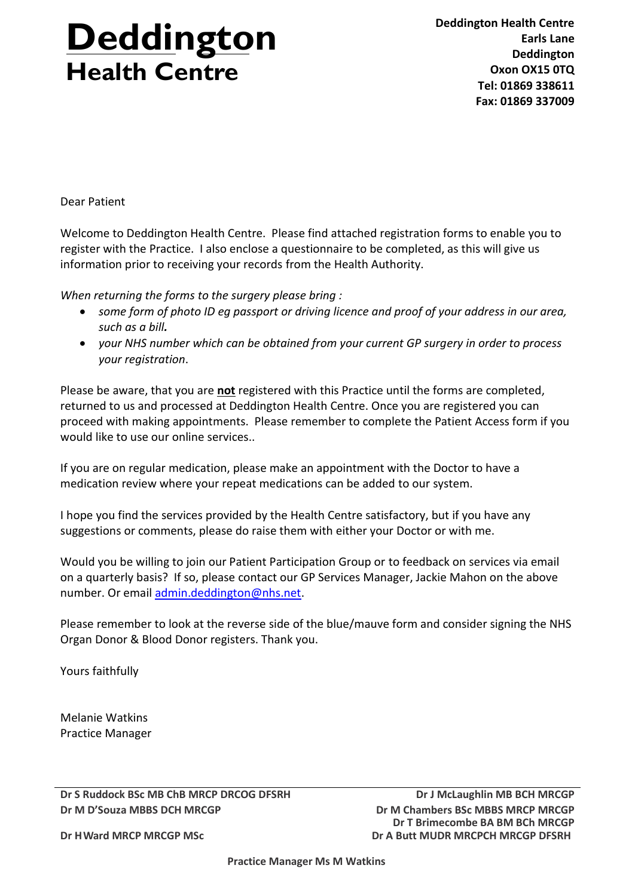# **Deddington Health Centre**

**Deddington Health Centre Earls Lane Deddington Oxon OX15 0TQ Tel: 01869 338611 Fax: 01869 337009**

Dear Patient

Welcome to Deddington Health Centre. Please find attached registration forms to enable you to register with the Practice. I also enclose a questionnaire to be completed, as this will give us information prior to receiving your records from the Health Authority.

*When returning the forms to the surgery please bring :*

- *some form of photo ID eg passport or driving licence and proof of your address in our area, such as a bill.*
- *your NHS number which can be obtained from your current GP surgery in order to process your registration*.

Please be aware, that you are **not** registered with this Practice until the forms are completed, returned to us and processed at Deddington Health Centre. Once you are registered you can proceed with making appointments. Please remember to complete the Patient Access form if you would like to use our online services..

If you are on regular medication, please make an appointment with the Doctor to have a medication review where your repeat medications can be added to our system.

I hope you find the services provided by the Health Centre satisfactory, but if you have any suggestions or comments, please do raise them with either your Doctor or with me.

Would you be willing to join our Patient Participation Group or to feedback on services via email on a quarterly basis? If so, please contact our GP Services Manager, Jackie Mahon on the above number. Or email [admin.deddington@nhs.net.](mailto:admin.deddington@nhs.net)

Please remember to look at the reverse side of the blue/mauve form and consider signing the NHS Organ Donor & Blood Donor registers. Thank you.

Yours faithfully

Melanie Watkins Practice Manager

**Dr S Ruddock BSc MB ChB MRCP DRCOG DFSRH Dr J McLaughlin MB BCH MRCGP Dr M D'Souza MBBS DCH MRCGP Dr M Chambers BSc MBBS MRCP MRCGP**

**Dr T Brimecombe BA BM BCh MRCGP Dr A Butt MUDR MRCPCH MRCGP DFSRH** 

**Dr HWard MRCP MRCGP MSc**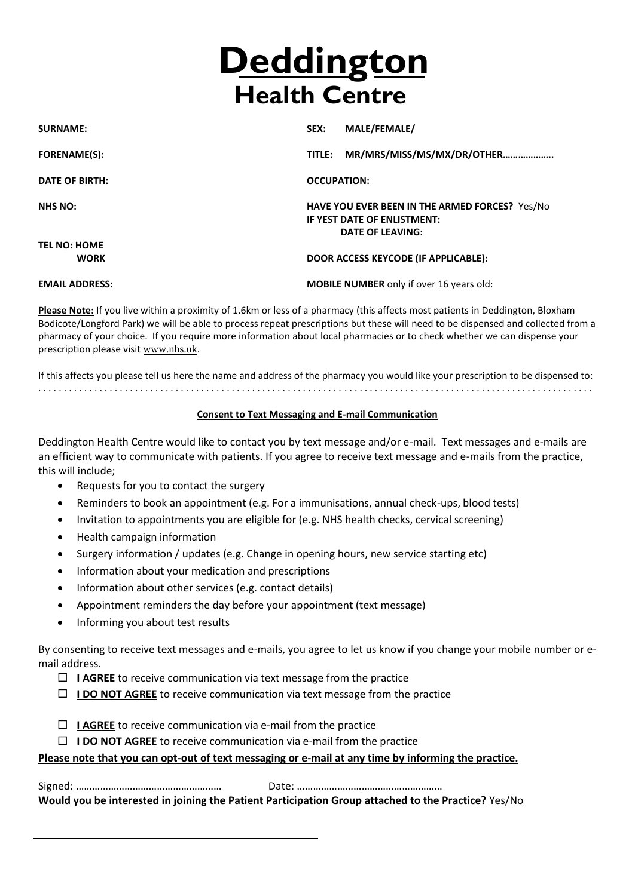# **Deddington Health Centre**

| <b>SURNAME:</b>                    | MALE/FEMALE/<br>SEX:                                                                                     |
|------------------------------------|----------------------------------------------------------------------------------------------------------|
| <b>FORENAME(S):</b>                | MR/MRS/MISS/MS/MX/DR/OTHER<br>TITLE:                                                                     |
| <b>DATE OF BIRTH:</b>              | <b>OCCUPATION:</b>                                                                                       |
| <b>NHS NO:</b>                     | HAVE YOU EVER BEEN IN THE ARMED FORCES? Yes/No<br>IF YEST DATE OF ENLISTMENT:<br><b>DATE OF LEAVING:</b> |
| <b>TEL NO: HOME</b><br><b>WORK</b> | DOOR ACCESS KEYCODE (IF APPLICABLE):                                                                     |
| <b>EMAIL ADDRESS:</b>              | <b>MOBILE NUMBER</b> only if over 16 years old:                                                          |

**Please Note:** If you live within a proximity of 1.6km or less of a pharmacy (this affects most patients in Deddington, Bloxham Bodicote/Longford Park) we will be able to process repeat prescriptions but these will need to be dispensed and collected from a pharmacy of your choice. If you require more information about local pharmacies or to check whether we can dispense your prescription please visit [www.nhs.uk](http://www.nhs.uk/).

If this affects you please tell us here the name and address of the pharmacy you would like your prescription to be dispensed to: . . . . . . . . . . . . . . . . . . . . . . . . . . . . . . . . . . . . . . . . . . . . . . . . . . . . . . . . . . . . . . . . . . . . . . . . . . . . . . . . . . . . . . . . . . . . . . . . . . . . . . . . . . . . .

## **Consent to Text Messaging and E-mail Communication**

Deddington Health Centre would like to contact you by text message and/or e-mail. Text messages and e-mails are an efficient way to communicate with patients. If you agree to receive text message and e-mails from the practice, this will include;

- Requests for you to contact the surgery
- Reminders to book an appointment (e.g. For a immunisations, annual check-ups, blood tests)
- Invitation to appointments you are eligible for (e.g. NHS health checks, cervical screening)
- Health campaign information
- Surgery information / updates (e.g. Change in opening hours, new service starting etc)
- Information about your medication and prescriptions
- Information about other services (e.g. contact details)
- Appointment reminders the day before your appointment (text message)
- Informing you about test results

By consenting to receive text messages and e-mails, you agree to let us know if you change your mobile number or email address.

- $\Box$  **I AGREE** to receive communication via text message from the practice
- $\Box$  **I DO NOT AGREE** to receive communication via text message from the practice
- $\Box$  **I AGREE** to receive communication via e-mail from the practice
- $\Box$  **I DO NOT AGREE** to receive communication via e-mail from the practice

### **Please note that you can opt-out of text messaging or e-mail at any time by informing the practice.**

Signed: ……………………………………………… Date: ………………………………………………

**Would you be interested in joining the Patient Participation Group attached to the Practice?** Yes/No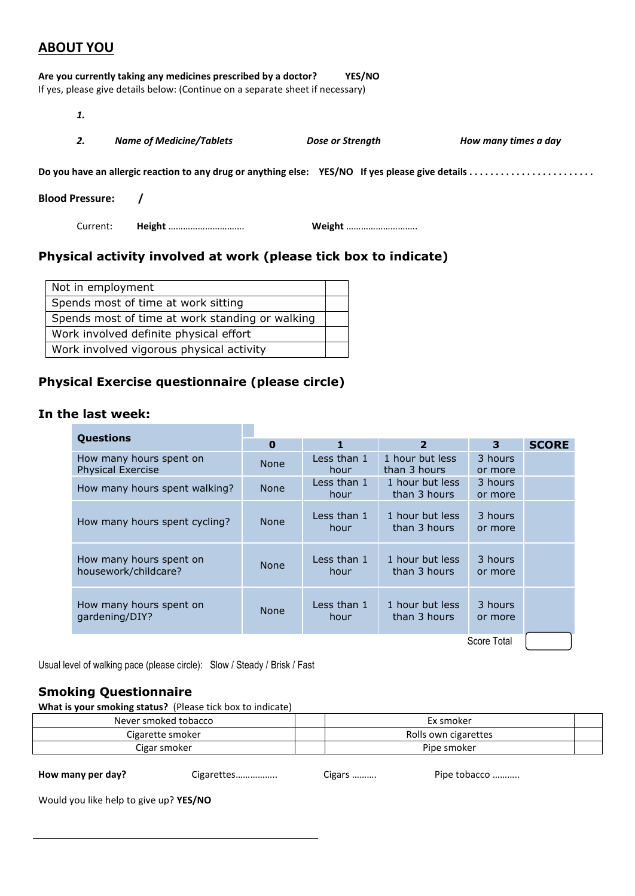# **ABOUT YOU**

|                        | Are you currently taking any medicines prescribed by a doctor?<br>If yes, please give details below: (Continue on a separate sheet if necessary) | YES/NO           |                      |
|------------------------|--------------------------------------------------------------------------------------------------------------------------------------------------|------------------|----------------------|
| 1.                     |                                                                                                                                                  |                  |                      |
| 2.                     | <b>Name of Medicine/Tablets</b>                                                                                                                  | Dose or Strength | How many times a day |
|                        |                                                                                                                                                  |                  |                      |
| <b>Blood Pressure:</b> |                                                                                                                                                  |                  |                      |
| Current:               | <b>Height</b>                                                                                                                                    | <b>Weight </b>   |                      |
|                        |                                                                                                                                                  |                  |                      |

# **Physical activity involved at work (please tick box to indicate)**

| Not in employment                               |  |
|-------------------------------------------------|--|
| Spends most of time at work sitting             |  |
| Spends most of time at work standing or walking |  |
| Work involved definite physical effort          |  |
| Work involved vigorous physical activity        |  |

# **Physical Exercise questionnaire (please circle)**

# **In the last week:**

| <b>Questions</b>                                    |             |                     |                                 |                    |              |
|-----------------------------------------------------|-------------|---------------------|---------------------------------|--------------------|--------------|
|                                                     | $\bf{0}$    | 1                   | $\overline{2}$                  | 3                  | <b>SCORE</b> |
| How many hours spent on<br><b>Physical Exercise</b> | <b>None</b> | Less than 1<br>hour | 1 hour but less<br>than 3 hours | 3 hours<br>or more |              |
| How many hours spent walking?                       | <b>None</b> | Less than 1<br>hour | 1 hour but less<br>than 3 hours | 3 hours<br>or more |              |
| How many hours spent cycling?                       | <b>None</b> | Less than 1<br>hour | 1 hour but less<br>than 3 hours | 3 hours<br>or more |              |
| How many hours spent on<br>housework/childcare?     | <b>None</b> | Less than 1<br>hour | 1 hour but less<br>than 3 hours | 3 hours<br>or more |              |
| How many hours spent on<br>qardening/DIY?           | <b>None</b> | Less than 1<br>hour | 1 hour but less<br>than 3 hours | 3 hours<br>or more |              |
| Score Total                                         |             |                     |                                 |                    |              |

Usual level of walking pace (please circle): Slow / Steady / Brisk / Fast

## **Smoking Questionnaire**

**What is your smoking status?** (Please tick box to indicate)

|                                        | Never smoked tobacco |                        | Ex smoker            |  |  |
|----------------------------------------|----------------------|------------------------|----------------------|--|--|
|                                        | Cigarette smoker     |                        | Rolls own cigarettes |  |  |
|                                        | Cigar smoker         |                        | Pipe smoker          |  |  |
| How many per day?                      | Cigarettes           | Pipe tobacco<br>Cigars |                      |  |  |
| Would you like help to give up? YES/NO |                      |                        |                      |  |  |
|                                        |                      |                        |                      |  |  |
|                                        |                      |                        |                      |  |  |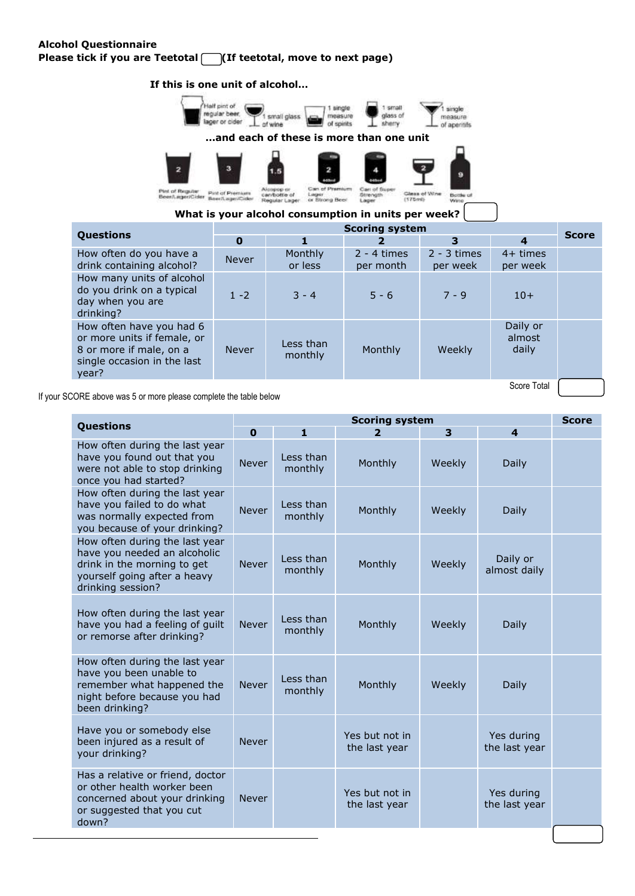## **Alcohol Questionnaire Please tick if you are Teetotal (If teetotal, move to next page)**

### **If this is one unit of alcohol…**



Glass of Wine<br>(175ml) canford Strength<br>Lager Bottle of ong Beer

**What is your alcohol consumption in units per week?** 

|                                                                                                                            | <b>Scoring system</b> |                      |                            |                           |                             |              |
|----------------------------------------------------------------------------------------------------------------------------|-----------------------|----------------------|----------------------------|---------------------------|-----------------------------|--------------|
| <b>Questions</b>                                                                                                           | $\bf{0}$              |                      |                            | 3                         | $\boldsymbol{4}$            | <b>Score</b> |
| How often do you have a<br>drink containing alcohol?                                                                       | <b>Never</b>          | Monthly<br>or less   | $2 - 4$ times<br>per month | $2 - 3$ times<br>per week | $4+$ times<br>per week      |              |
| How many units of alcohol<br>do you drink on a typical<br>day when you are<br>drinking?                                    | $1 - 2$               | $3 - 4$              | $5 - 6$                    | $7 - 9$                   | $10+$                       |              |
| How often have you had 6<br>or more units if female, or<br>8 or more if male, on a<br>single occasion in the last<br>year? | <b>Never</b>          | Less than<br>monthly | Monthly                    | Weekly                    | Daily or<br>almost<br>daily |              |
| Score Total<br>$\sim$                                                                                                      |                       |                      |                            |                           |                             |              |

If your SCORE above was 5 or more please complete the table below

|                                                                                                                                                    | <b>Scoring system</b> |                      |                                 |        | <b>Score</b>                |  |
|----------------------------------------------------------------------------------------------------------------------------------------------------|-----------------------|----------------------|---------------------------------|--------|-----------------------------|--|
| Questions                                                                                                                                          | $\mathbf 0$           | 1                    | $\overline{2}$                  | 3      | $\overline{\mathbf{4}}$     |  |
| How often during the last year<br>have you found out that you<br>were not able to stop drinking<br>once you had started?                           | <b>Never</b>          | Less than<br>monthly | Monthly                         | Weekly | Daily                       |  |
| How often during the last year<br>have you failed to do what<br>was normally expected from<br>you because of your drinking?                        | <b>Never</b>          | Less than<br>monthly | Monthly                         | Weekly | Daily                       |  |
| How often during the last year<br>have you needed an alcoholic<br>drink in the morning to get<br>yourself going after a heavy<br>drinking session? | <b>Never</b>          | Less than<br>monthly | Monthly                         | Weekly | Daily or<br>almost daily    |  |
| How often during the last year<br>have you had a feeling of guilt<br>or remorse after drinking?                                                    | <b>Never</b>          | Less than<br>monthly | Monthly                         | Weekly | Daily                       |  |
| How often during the last year<br>have you been unable to<br>remember what happened the<br>night before because you had<br>been drinking?          | <b>Never</b>          | Less than<br>monthly | Monthly                         | Weekly | Daily                       |  |
| Have you or somebody else<br>been injured as a result of<br>your drinking?                                                                         | <b>Never</b>          |                      | Yes but not in<br>the last year |        | Yes during<br>the last year |  |
| Has a relative or friend, doctor<br>or other health worker been<br>concerned about your drinking<br>or suggested that you cut<br>down?             | <b>Never</b>          |                      | Yes but not in<br>the last year |        | Yes during<br>the last year |  |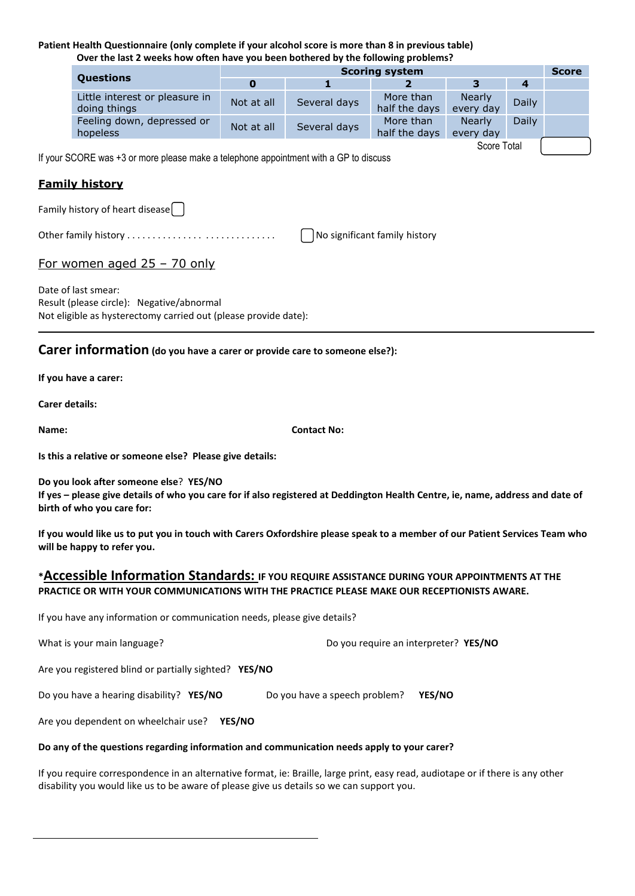#### **Patient Health Questionnaire (only complete if your alcohol score is more than 8 in previous table) Over the last 2 weeks how often have you been bothered by the following problems?**

|                                                | <b>Scoring system</b> |              |                            |                            |       | <b>Score</b> |
|------------------------------------------------|-----------------------|--------------|----------------------------|----------------------------|-------|--------------|
| <b>Questions</b>                               |                       |              |                            | з                          | 4     |              |
| Little interest or pleasure in<br>doing things | Not at all            | Several days | More than<br>half the days | <b>Nearly</b><br>every day | Daily |              |
| Feeling down, depressed or<br>hopeless         | Not at all            | Several days | More than<br>half the days | Nearly<br>every day        | Daily |              |

If your SCORE was +3 or more please make a telephone appointment with a GP to discuss

## **Family history**

Family history of heart disease

Other family history . . . . . . . . . . . . . . . . . . . . . . . . . . . . . No significant family history

Score Total

# For women aged 25 – 70 only

Date of last smear: Result (please circle): Negative/abnormal Not eligible as hysterectomy carried out (please provide date):

# **Carer information (do you have a carer or provide care to someone else?):**

**If you have a carer:** 

**Carer details:**

**Name: Contact No:**

**Is this a relative or someone else? Please give details:**

**Do you look after someone else**? **YES/NO**

**If yes – please give details of who you care for if also registered at Deddington Health Centre, ie, name, address and date of birth of who you care for:**

**If you would like us to put you in touch with Carers Oxfordshire please speak to a member of our Patient Services Team who will be happy to refer you.**

## **\*Accessible Information Standards: IF YOU REQUIRE ASSISTANCE DURING YOUR APPOINTMENTS AT THE PRACTICE OR WITH YOUR COMMUNICATIONS WITH THE PRACTICE PLEASE MAKE OUR RECEPTIONISTS AWARE.**

If you have any information or communication needs, please give details?

| What is your main language? | Do you require an interpreter? YES/NO |
|-----------------------------|---------------------------------------|
|                             |                                       |

Are you registered blind or partially sighted? **YES/NO**

Do you have a hearing disability? **YES/NO** Do you have a speech problem? **YES/NO**

Are you dependent on wheelchair use? **YES/NO**

#### **Do any of the questions regarding information and communication needs apply to your carer?**

If you require correspondence in an alternative format, ie: Braille, large print, easy read, audiotape or if there is any other disability you would like us to be aware of please give us details so we can support you.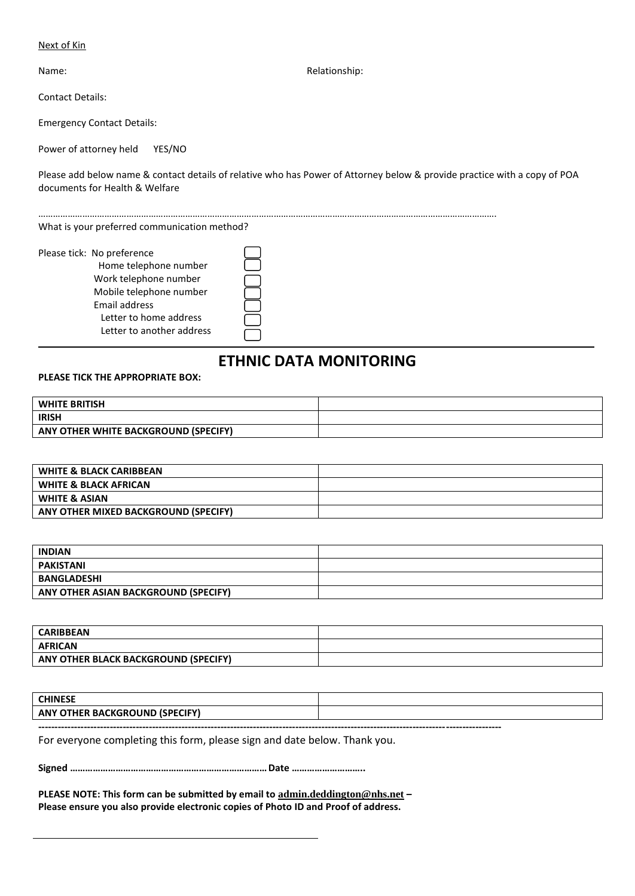#### Next of Kin

Contact Details:

Emergency Contact Details:

Power of attorney held YES/NO

Please add below name & contact details of relative who has Power of Attorney below & provide practice with a copy of POA documents for Health & Welfare

…………………………………………………………………………………………………………………………………………………………………….

What is your preferred communication method?

| Please tick: No preference |  |
|----------------------------|--|
| Home telephone number      |  |
| Work telephone number      |  |
| Mobile telephone number    |  |
| Email address              |  |
| Letter to home address     |  |
| Letter to another address  |  |
|                            |  |

# **ETHNIC DATA MONITORING**

**PLEASE TICK THE APPROPRIATE BOX:**

| <b>WHITE BRITISH</b>                 |  |
|--------------------------------------|--|
| <b>IRISH</b>                         |  |
| ANY OTHER WHITE BACKGROUND (SPECIFY) |  |

| <b>WHITE &amp; BLACK CARIBBEAN</b>   |  |
|--------------------------------------|--|
| <b>WHITE &amp; BLACK AFRICAN</b>     |  |
| <b>WHITE &amp; ASIAN</b>             |  |
| ANY OTHER MIXED BACKGROUND (SPECIFY) |  |

| <b>INDIAN</b>                        |  |
|--------------------------------------|--|
| PAKISTANI                            |  |
| <b>BANGLADESHI</b>                   |  |
| ANY OTHER ASIAN BACKGROUND (SPECIFY) |  |

| <b>CARIBBEAN</b>                     |  |
|--------------------------------------|--|
| <b>AFRICAN</b>                       |  |
| ANY OTHER BLACK BACKGROUND (SPECIFY) |  |

| <b>CHINESE</b>                                                        |  |
|-----------------------------------------------------------------------|--|
| <b>ANY</b><br>NEV.<br><b>ISPEC</b><br>KGRL<br>OTHER<br>13A C<br>ומווט |  |

**----------------------------------------------------------------------------------------------------------------------------------------------**

For everyone completing this form, please sign and date below. Thank you.

**Signed ……………………………………………………………………Date ………………………..**

**PLEASE NOTE: This form can be submitted by email to [admin.deddington@nhs.net](mailto:admin.deddington@nhs.net) – Please ensure you also provide electronic copies of Photo ID and Proof of address.**

Name: Name: Relationship: Name: Relationship: Relationship: Relationship: Relationship: Relationship: Relationship: Relationship: Relationship: Relationship: Relationship: Relationship: Relationship: Relationship: Relation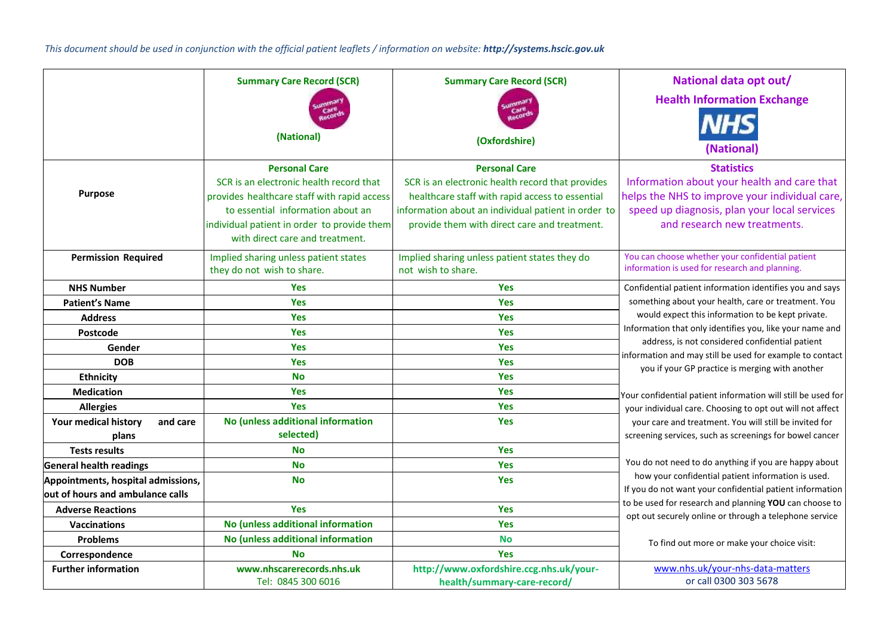*This document should be used in conjunction with the official patient leaflets / information on website: http://systems.hscic.gov.uk*

|                                                                        | <b>Summary Care Record (SCR)</b>                                                                                                                                                                                                      | <b>Summary Care Record (SCR)</b>                                                                                                                                                                                                   | National data opt out/                                                                                                                                                                             |
|------------------------------------------------------------------------|---------------------------------------------------------------------------------------------------------------------------------------------------------------------------------------------------------------------------------------|------------------------------------------------------------------------------------------------------------------------------------------------------------------------------------------------------------------------------------|----------------------------------------------------------------------------------------------------------------------------------------------------------------------------------------------------|
|                                                                        | (National)                                                                                                                                                                                                                            | (Oxfordshire)                                                                                                                                                                                                                      | <b>Health Information Exchange</b><br><b>NHS</b><br>(National                                                                                                                                      |
| <b>Purpose</b>                                                         | <b>Personal Care</b><br>SCR is an electronic health record that<br>provides healthcare staff with rapid access<br>to essential information about an<br>individual patient in order to provide them<br>with direct care and treatment. | <b>Personal Care</b><br>SCR is an electronic health record that provides<br>healthcare staff with rapid access to essential<br>information about an individual patient in order to<br>provide them with direct care and treatment. | <b>Statistics</b><br>Information about your health and care that<br>helps the NHS to improve your individual care,<br>speed up diagnosis, plan your local services<br>and research new treatments. |
| <b>Permission Required</b>                                             | Implied sharing unless patient states<br>they do not wish to share.                                                                                                                                                                   | Implied sharing unless patient states they do<br>not wish to share.                                                                                                                                                                | You can choose whether your confidential patient<br>information is used for research and planning.                                                                                                 |
| <b>NHS Number</b>                                                      | <b>Yes</b>                                                                                                                                                                                                                            | <b>Yes</b>                                                                                                                                                                                                                         | Confidential patient information identifies you and says                                                                                                                                           |
| <b>Patient's Name</b>                                                  | Yes                                                                                                                                                                                                                                   | <b>Yes</b>                                                                                                                                                                                                                         | something about your health, care or treatment. You                                                                                                                                                |
| <b>Address</b>                                                         | <b>Yes</b>                                                                                                                                                                                                                            | <b>Yes</b>                                                                                                                                                                                                                         | would expect this information to be kept private.                                                                                                                                                  |
| Postcode                                                               | Yes                                                                                                                                                                                                                                   | <b>Yes</b>                                                                                                                                                                                                                         | Information that only identifies you, like your name and                                                                                                                                           |
| Gender                                                                 | <b>Yes</b>                                                                                                                                                                                                                            | <b>Yes</b>                                                                                                                                                                                                                         | address, is not considered confidential patient                                                                                                                                                    |
| <b>DOB</b>                                                             | <b>Yes</b>                                                                                                                                                                                                                            | <b>Yes</b>                                                                                                                                                                                                                         | information and may still be used for example to contact<br>you if your GP practice is merging with another                                                                                        |
| <b>Ethnicity</b>                                                       | <b>No</b>                                                                                                                                                                                                                             | Yes                                                                                                                                                                                                                                |                                                                                                                                                                                                    |
| <b>Medication</b>                                                      | <b>Yes</b>                                                                                                                                                                                                                            | <b>Yes</b>                                                                                                                                                                                                                         | Your confidential patient information will still be used for                                                                                                                                       |
| <b>Allergies</b>                                                       | <b>Yes</b>                                                                                                                                                                                                                            | <b>Yes</b>                                                                                                                                                                                                                         | your individual care. Choosing to opt out will not affect                                                                                                                                          |
| Your medical history<br>and care<br>plans                              | No (unless additional information<br>selected)                                                                                                                                                                                        | <b>Yes</b>                                                                                                                                                                                                                         | your care and treatment. You will still be invited for<br>screening services, such as screenings for bowel cancer                                                                                  |
| <b>Tests results</b>                                                   | <b>No</b>                                                                                                                                                                                                                             | Yes                                                                                                                                                                                                                                |                                                                                                                                                                                                    |
| <b>General health readings</b>                                         | <b>No</b>                                                                                                                                                                                                                             | <b>Yes</b>                                                                                                                                                                                                                         | You do not need to do anything if you are happy about                                                                                                                                              |
| Appointments, hospital admissions,<br>out of hours and ambulance calls | <b>No</b>                                                                                                                                                                                                                             | <b>Yes</b>                                                                                                                                                                                                                         | how your confidential patient information is used.<br>If you do not want your confidential patient information                                                                                     |
| <b>Adverse Reactions</b>                                               | <b>Yes</b>                                                                                                                                                                                                                            | Yes                                                                                                                                                                                                                                | to be used for research and planning YOU can choose to                                                                                                                                             |
| <b>Vaccinations</b>                                                    | No (unless additional information                                                                                                                                                                                                     | <b>Yes</b>                                                                                                                                                                                                                         | opt out securely online or through a telephone service                                                                                                                                             |
| <b>Problems</b>                                                        | No (unless additional information                                                                                                                                                                                                     | <b>No</b>                                                                                                                                                                                                                          | To find out more or make your choice visit:                                                                                                                                                        |
| Correspondence                                                         | <b>No</b>                                                                                                                                                                                                                             | <b>Yes</b>                                                                                                                                                                                                                         |                                                                                                                                                                                                    |
| <b>Further information</b>                                             | www.nhscarerecords.nhs.uk<br>Tel: 0845 300 6016                                                                                                                                                                                       | http://www.oxfordshire.ccg.nhs.uk/your-<br>health/summary-care-record/                                                                                                                                                             | www.nhs.uk/your-nhs-data-matters<br>or call 0300 303 5678                                                                                                                                          |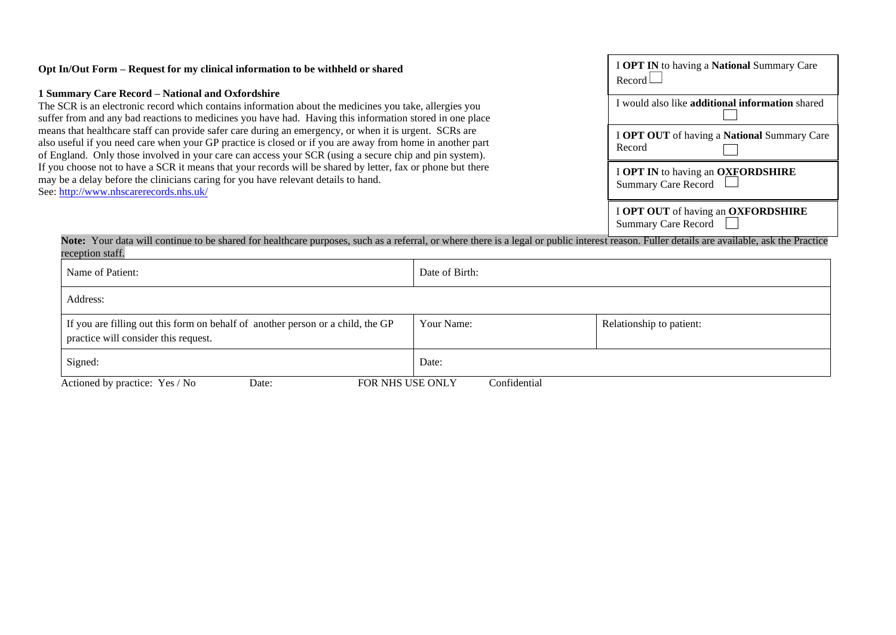| Opt In/Out Form – Request for my clinical information to be withheld or shared                                                                                                                                                                                                                                                | I OPT IN to having a National Summary Care<br>Record             |
|-------------------------------------------------------------------------------------------------------------------------------------------------------------------------------------------------------------------------------------------------------------------------------------------------------------------------------|------------------------------------------------------------------|
| 1 Summary Care Record – National and Oxfordshire<br>The SCR is an electronic record which contains information about the medicines you take, allergies you<br>suffer from and any bad reactions to medicines you have had. Having this information stored in one place                                                        | I would also like additional information shared                  |
| means that healthcare staff can provide safer care during an emergency, or when it is urgent. SCRs are<br>also useful if you need care when your GP practice is closed or if you are away from home in another part<br>of England. Only those involved in your care can access your SCR (using a secure chip and pin system). | I OPT OUT of having a National Summary Care<br>Record            |
| If you choose not to have a SCR it means that your records will be shared by letter, fax or phone but there<br>may be a delay before the clinicians caring for you have relevant details to hand.<br>See: http://www.nhscarerecords.nhs.uk/                                                                                   | I OPT IN to having an OXFORDSHIRE<br><b>Summary Care Record</b>  |
|                                                                                                                                                                                                                                                                                                                               | I OPT OUT of having an OXFORDSHIRE<br><b>Summary Care Record</b> |

Note: Your data will continue to be shared for healthcare purposes, such as a referral, or where there is a legal or public interest reason. Fuller details are available, ask the Practice reception staff.

| Name of Patient:                                                                                                        | Date of Birth: |                          |
|-------------------------------------------------------------------------------------------------------------------------|----------------|--------------------------|
| Address:                                                                                                                |                |                          |
| If you are filling out this form on behalf of another person or a child, the GP<br>practice will consider this request. | Your Name:     | Relationship to patient: |
| Signed:                                                                                                                 | Date:          |                          |
| FOR NHS USE ONLY<br>Actioned by practice: Yes / No<br>Date:                                                             | Confidential   |                          |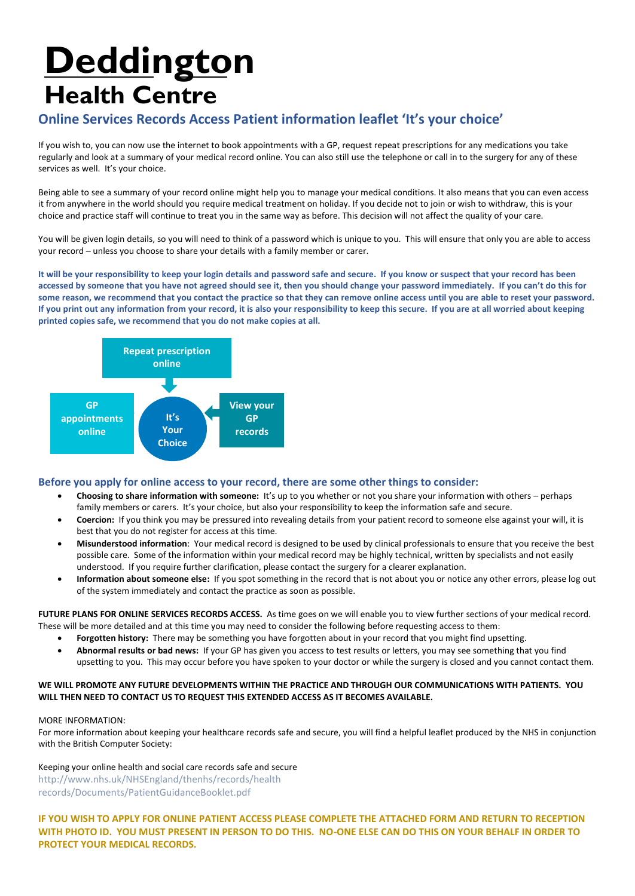# **Deddington Health Centre**

# **Online Services Records Access Patient information leaflet 'It's your choice'**

If you wish to, you can now use the internet to book appointments with a GP, request repeat prescriptions for any medications you take regularly and look at a summary of your medical record online. You can also still use the telephone or call in to the surgery for any of these services as well. It's your choice.

Being able to see a summary of your record online might help you to manage your medical conditions. It also means that you can even access it from anywhere in the world should you require medical treatment on holiday. If you decide not to join or wish to withdraw, this is your choice and practice staff will continue to treat you in the same way as before. This decision will not affect the quality of your care.

You will be given login details, so you will need to think of a password which is unique to you. This will ensure that only you are able to access your record – unless you choose to share your details with a family member or carer.

**It will be your responsibility to keep your login details and password safe and secure. If you know or suspect that your record has been accessed by someone that you have not agreed should see it, then you should change your password immediately. If you can't do this for some reason, we recommend that you contact the practice so that they can remove online access until you are able to reset your password. If you print out any information from your record, it is also your responsibility to keep this secure. If you are at all worried about keeping printed copies safe, we recommend that you do not make copies at all.** 



### **Before you apply for online access to your record, there are some other things to consider:**

- **Choosing to share information with someone:** It's up to you whether or not you share your information with others perhaps family members or carers. It's your choice, but also your responsibility to keep the information safe and secure.
- **Coercion:** If you think you may be pressured into revealing details from your patient record to someone else against your will, it is best that you do not register for access at this time.
- **Misunderstood information**: Your medical record is designed to be used by clinical professionals to ensure that you receive the best possible care. Some of the information within your medical record may be highly technical, written by specialists and not easily understood. If you require further clarification, please contact the surgery for a clearer explanation.
- **Information about someone else:** If you spot something in the record that is not about you or notice any other errors, please log out of the system immediately and contact the practice as soon as possible.

**FUTURE PLANS FOR ONLINE SERVICES RECORDS ACCESS.** As time goes on we will enable you to view further sections of your medical record. These will be more detailed and at this time you may need to consider the following before requesting access to them:

- **Forgotten history:** There may be something you have forgotten about in your record that you might find upsetting.
- **Abnormal results or bad news:** If your GP has given you access to test results or letters, you may see something that you find upsetting to you. This may occur before you have spoken to your doctor or while the surgery is closed and you cannot contact them.

#### **WE WILL PROMOTE ANY FUTURE DEVELOPMENTS WITHIN THE PRACTICE AND THROUGH OUR COMMUNICATIONS WITH PATIENTS. YOU WILL THEN NEED TO CONTACT US TO REQUEST THIS EXTENDED ACCESS AS IT BECOMES AVAILABLE.**

#### MORE INFORMATION:

For more information about keeping your healthcare records safe and secure, you will find a helpful leaflet produced by the NHS in conjunction with the British Computer Society:

Keeping your online health and social care records safe and secure http://www.nhs.uk/NHSEngland/thenhs/records/health records/Documents/PatientGuidanceBooklet.pdf

**IF YOU WISH TO APPLY FOR ONLINE PATIENT ACCESS PLEASE COMPLETE THE ATTACHED FORM AND RETURN TO RECEPTION WITH PHOTO ID. YOU MUST PRESENT IN PERSON TO DO THIS. NO-ONE ELSE CAN DO THIS ON YOUR BEHALF IN ORDER TO PROTECT YOUR MEDICAL RECORDS.**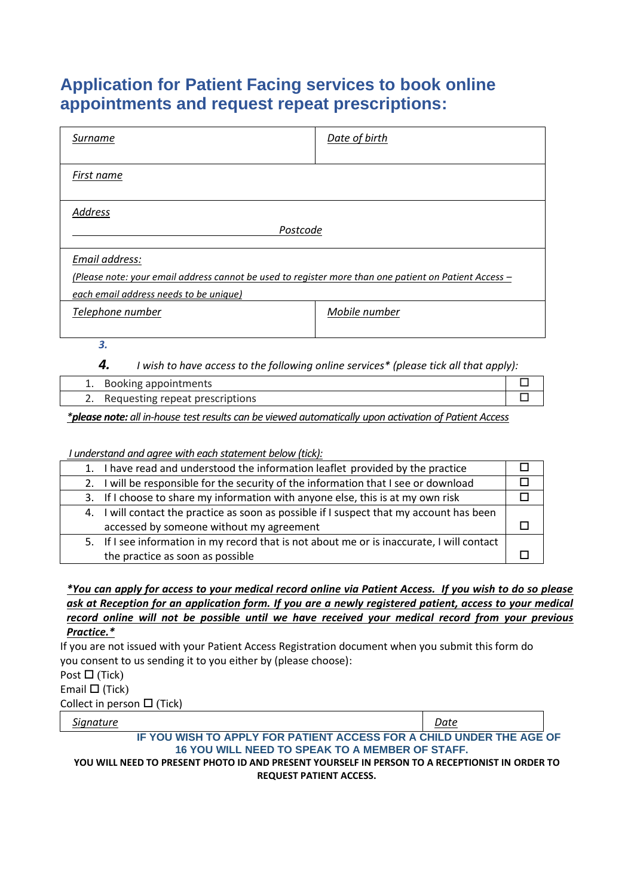# **Application for Patient Facing services to book online appointments and request repeat prescriptions:**

| Surname                                                                                               | Date of birth |
|-------------------------------------------------------------------------------------------------------|---------------|
| First name                                                                                            |               |
| <b>Address</b>                                                                                        |               |
| Postcode                                                                                              |               |
| Email address:                                                                                        |               |
| (Please note: your email address cannot be used to register more than one patient on Patient Access - |               |
| each email address needs to be unique)                                                                |               |
| Telephone number                                                                                      | Mobile number |
|                                                                                                       |               |

*3.*

*4. I wish to have access to the following online services\* (please tick all that apply):*

| 1. Booking appointments            |  |
|------------------------------------|--|
| 2. Requesting repeat prescriptions |  |

*\*please note: all in-house test results can be viewed automatically upon activation of Patient Access*

### *I understand and agree with each statement below (tick):*

| 1. I have read and understood the information leaflet provided by the practice             |  |
|--------------------------------------------------------------------------------------------|--|
| 2. I will be responsible for the security of the information that I see or download        |  |
| 3. If I choose to share my information with anyone else, this is at my own risk            |  |
| 4. I will contact the practice as soon as possible if I suspect that my account has been   |  |
| accessed by someone without my agreement                                                   |  |
| 5. If I see information in my record that is not about me or is inaccurate, I will contact |  |
| the practice as soon as possible                                                           |  |

*\*You can apply for access to your medical record online via Patient Access. If you wish to do so please ask at Reception for an application form. If you are a newly registered patient, access to your medical record online will not be possible until we have received your medical record from your previous Practice.\**

If you are not issued with your Patient Access Registration document when you submit this form do you consent to us sending it to you either by (please choose):

Post  $\Box$  (Tick)

Email  $\Box$  (Tick)

Collect in person  $\Box$  (Tick)

*Signature Date*

**IF YOU WISH TO APPLY FOR PATIENT ACCESS FOR A CHILD UNDER THE AGE OF 16 YOU WILL NEED TO SPEAK TO A MEMBER OF STAFF.**

**YOU WILL NEED TO PRESENT PHOTO ID AND PRESENT YOURSELF IN PERSON TO A RECEPTIONIST IN ORDER TO REQUEST PATIENT ACCESS.**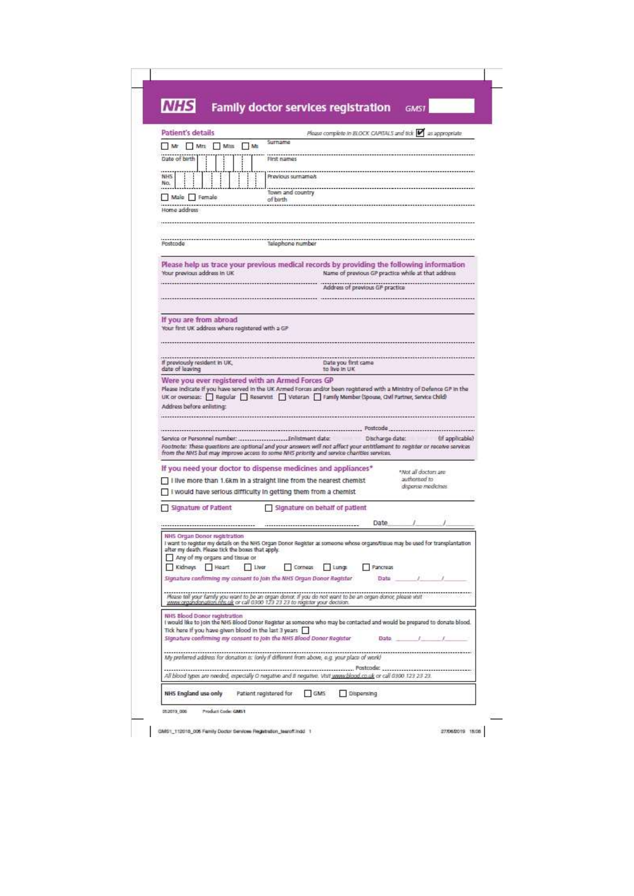| Patient's details                                |                                                                                     | Surname                                                                                                                                                                                                              | Please complete to BLOCK CAPITALS and tick $\blacktriangleright$ as appropriate |                                                    |                                        |                 |
|--------------------------------------------------|-------------------------------------------------------------------------------------|----------------------------------------------------------------------------------------------------------------------------------------------------------------------------------------------------------------------|---------------------------------------------------------------------------------|----------------------------------------------------|----------------------------------------|-----------------|
| Mr Mrs<br>Date of birth                          | Milts<br>$-105$                                                                     | First names                                                                                                                                                                                                          |                                                                                 |                                                    |                                        |                 |
|                                                  |                                                                                     |                                                                                                                                                                                                                      |                                                                                 |                                                    |                                        |                 |
| <b>NHS</b><br>No.                                |                                                                                     | Praylous surnames                                                                                                                                                                                                    |                                                                                 |                                                    |                                        |                 |
| Male Female                                      |                                                                                     | Town and country<br>of birth                                                                                                                                                                                         |                                                                                 |                                                    |                                        |                 |
| Home address                                     |                                                                                     |                                                                                                                                                                                                                      |                                                                                 |                                                    |                                        |                 |
|                                                  |                                                                                     |                                                                                                                                                                                                                      |                                                                                 |                                                    |                                        |                 |
| Postcode                                         |                                                                                     | Talephone number                                                                                                                                                                                                     |                                                                                 |                                                    |                                        |                 |
|                                                  |                                                                                     | Please help us trace your previous medical records by providing the following information                                                                                                                            |                                                                                 |                                                    |                                        |                 |
| Your previous address in UK                      |                                                                                     |                                                                                                                                                                                                                      |                                                                                 | Name of previous GP practice while at that address |                                        |                 |
|                                                  |                                                                                     |                                                                                                                                                                                                                      |                                                                                 | Address of previous GP practice                    |                                        |                 |
|                                                  |                                                                                     |                                                                                                                                                                                                                      |                                                                                 |                                                    |                                        |                 |
| If you are from abroad                           |                                                                                     |                                                                                                                                                                                                                      |                                                                                 |                                                    |                                        |                 |
|                                                  | Your first UK address where registered with a GP                                    |                                                                                                                                                                                                                      |                                                                                 |                                                    |                                        |                 |
|                                                  |                                                                                     |                                                                                                                                                                                                                      |                                                                                 |                                                    |                                        |                 |
| If previously resident in UK,<br>date of leaving |                                                                                     |                                                                                                                                                                                                                      | Date you first came                                                             |                                                    |                                        |                 |
|                                                  |                                                                                     |                                                                                                                                                                                                                      | to live in UK                                                                   |                                                    |                                        |                 |
|                                                  |                                                                                     | Were you ever registered with an Armed Forces GP                                                                                                                                                                     |                                                                                 |                                                    |                                        |                 |
|                                                  |                                                                                     | Please Indicate If you have served in the UK Armed Forces and/or been registered with a Ministry of Defence GP in the                                                                                                |                                                                                 |                                                    |                                        |                 |
|                                                  |                                                                                     | UK or overseas: Regular Reservist Veteran Family Member (Spouse, Oxil Partner, Service Child)                                                                                                                        |                                                                                 |                                                    |                                        |                 |
| Address before enlisting:                        |                                                                                     |                                                                                                                                                                                                                      |                                                                                 |                                                    |                                        |                 |
|                                                  |                                                                                     |                                                                                                                                                                                                                      |                                                                                 | Postcode                                           |                                        |                 |
|                                                  |                                                                                     | Footnote: These questions are optional and your answers will not affect your entitlement to register or receive services<br>from the NHS but may improve access to some NHS priority and service charities services. |                                                                                 | Discharge date:                                    |                                        | (if applicable) |
|                                                  |                                                                                     | If you need your doctor to dispense medicines and appliances*                                                                                                                                                        |                                                                                 |                                                    |                                        |                 |
|                                                  |                                                                                     | I live more than 1.6km in a straight line from the nearest chemist                                                                                                                                                   |                                                                                 |                                                    | *Not all doctors are:<br>authorised to |                 |
|                                                  |                                                                                     | I would have serious difficulty in getting them from a chemist                                                                                                                                                       |                                                                                 |                                                    | disponse medicines.                    |                 |
| Signature of Patient                             |                                                                                     |                                                                                                                                                                                                                      | Signature on behalf of patient                                                  |                                                    |                                        |                 |
|                                                  |                                                                                     |                                                                                                                                                                                                                      |                                                                                 | Date                                               |                                        |                 |
| NHS Organ Donor registration                     |                                                                                     | I want to register my details on the NHS Organ Donor Register as someone whose organs/tissue may be used for transplantation                                                                                         |                                                                                 |                                                    |                                        |                 |
|                                                  | after my death. Please tick the boxes that apply.<br>Any of my organs and tissue or |                                                                                                                                                                                                                      |                                                                                 |                                                    |                                        |                 |
| Kidneys                                          | $1$ lwar<br>Heart                                                                   | Corneas                                                                                                                                                                                                              | Lungs                                                                           | Pancreas                                           |                                        |                 |
|                                                  |                                                                                     | Signature confirming my consent to join the NHS Organ Donor Register                                                                                                                                                 |                                                                                 | Date                                               |                                        |                 |
|                                                  |                                                                                     | Rease tall your family you want to be an organ donor. If you do not want to be an organ donor, please wist<br>www.organdonation.nls.uk or call 0300 123 23 23 to register your decision.                             |                                                                                 |                                                    |                                        |                 |
| NHS Blood Donor registration                     |                                                                                     |                                                                                                                                                                                                                      |                                                                                 |                                                    |                                        |                 |
|                                                  |                                                                                     | I would like to join the NHS Blood Donor Register as someone who may be contacted and would be prepared to donate blood.<br>Tick here if you have given blood in the last 3 years                                    |                                                                                 |                                                    |                                        |                 |
|                                                  |                                                                                     | Signature confirming my consent to join the NHS Blood Donar Register                                                                                                                                                 |                                                                                 | Date                                               |                                        |                 |
|                                                  |                                                                                     | My proferred address for donation is: (only if different from above, e.g. your place of work)                                                                                                                        |                                                                                 |                                                    |                                        |                 |

CMS1\_112018\_005 Family Doctor Services Registration\_tearoff.indd 1

277062019 15:08